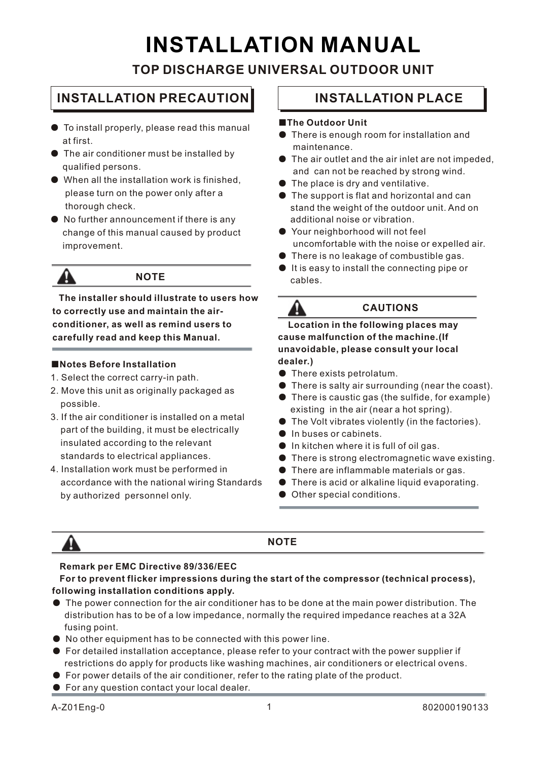# **INSTALLATION MANUAL**

### **TOP DISCHARGE UNIVERSAL OUTDOOR UNIT**

### **INSTALLATION PRECAUTION INSTALLATION PLACE**

- To install properly, please read this manual at first.
- The air conditioner must be installed by qualified persons.
- $\bullet$  When all the installation work is finished, please turn on the power only after a thorough check.
- No further announcement if there is any change of this manual caused by product improvement.



### **NOTE**

 **The installer should illustrate to users how to correctly use and maintain the air conditioner, as well as remind users to carefully read and keep this Manual.**

#### ■**Notes Before Installation**

- 1. Select the correct carry-in path.
- 2. Move this unit as originally packaged as possible.
- 3. If the air conditioner is installed on a metal part of the building, it must be electrically insulated according to the relevant standards to electrical appliances.
- 4. Installation work must be performed in accordance with the national wiring Standards by authorized personnel only.

#### ■**The Outdoor Unit**

- There is enough room for installation and maintenance.
- $\bullet$  The air outlet and the air inlet are not impeded, and can not be reached by strong wind.
- $\bullet$  The place is dry and ventilative.
- The support is flat and horizontal and can stand the weight of the outdoor unit. And on additional noise or vibration.
- Your neighborhood will not feel uncomfortable with the noise or expelled air.
- There is no leakage of combustible gas.
- It is easy to install the connecting pipe or cables.



 **Location in the following places may cause malfunction of the machine.(If unavoidable, please consult your local dealer.)**

- There exists petrolatum.
- There is salty air surrounding (near the coast).
- There is caustic gas (the sulfide, for example) existing in the air (near a hot spring).
- The Volt vibrates violently (in the factories).
- In buses or cabinets.
- $\bullet$  In kitchen where it is full of oil gas.
- There is strong electromagnetic wave existing.
- There are inflammable materials or gas.
- There is acid or alkaline liquid evaporating.
- Other special conditions.



#### **NOTE**

#### **Remark per EMC Directive 89/336/EEC**

#### **For to prevent flicker impressions during the start of the compressor (technical process), following installation conditions apply.**

- The power connection for the air conditioner has to be done at the main power distribution. The distribution has to be of a low impedance, normally the required impedance reaches at a 32A fusing point.
- No other equipment has to be connected with this power line.
- For detailed installation acceptance, please refer to your contract with the power supplier if restrictions do apply for products like washing machines, air conditioners or electrical ovens.
- For power details of the air conditioner, refer to the rating plate of the product.
- For any question contact your local dealer.